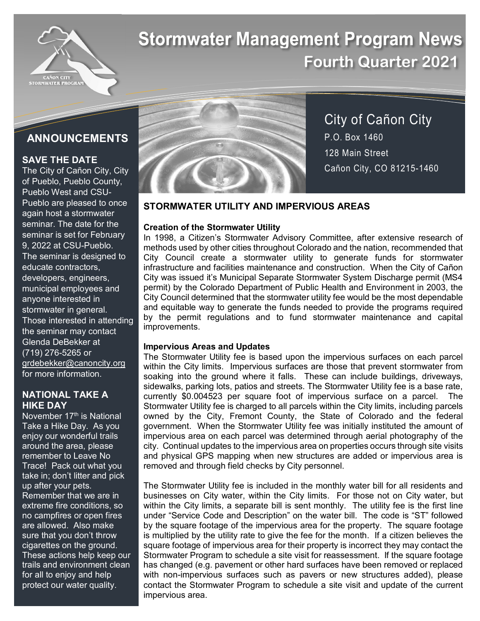

# **Stormwater Management Program News Fourth Quarter 2021**

# **ANNOUNCEMENTS**

## **SAVE THE DATE**

The City of Cañon City, City of Pueblo, Pueblo County, Pueblo West and CSU-Pueblo are pleased to once again host a stormwater seminar. The date for the seminar is set for February 9, 2022 at CSU-Pueblo. The seminar is designed to educate contractors, developers, engineers, municipal employees and anyone interested in stormwater in general. Those interested in attending the seminar may contact Glenda DeBekker at (719) 276-5265 or grdebekker@canoncity.org for more information.

#### **NATIONAL TAKE A HIKE DAY**

November 17<sup>th</sup> is National Take a Hike Day. As you enjoy our wonderful trails around the area, please remember to Leave No Trace! Pack out what you take in; don't litter and pick up after your pets. Remember that we are in extreme fire conditions, so no campfires or open fires are allowed. Also make sure that you don't throw cigarettes on the ground. These actions help keep our trails and environment clean for all to enjoy and help protect our water quality.



City of Cañon City P.O. Box 1460 128 Main Street Cañon City, CO 81215-1460

## **STORMWATER UTILITY AND IMPERVIOUS AREAS**

### **Creation of the Stormwater Utility**

In 1998, a Citizen's Stormwater Advisory Committee, after extensive research of methods used by other cities throughout Colorado and the nation, recommended that City Council create a stormwater utility to generate funds for stormwater infrastructure and facilities maintenance and construction. When the City of Cañon City was issued it's Municipal Separate Stormwater System Discharge permit (MS4 permit) by the Colorado Department of Public Health and Environment in 2003, the City Council determined that the stormwater utility fee would be the most dependable and equitable way to generate the funds needed to provide the programs required by the permit regulations and to fund stormwater maintenance and capital improvements.

#### **Impervious Areas and Updates**

The Stormwater Utility fee is based upon the impervious surfaces on each parcel within the City limits. Impervious surfaces are those that prevent stormwater from soaking into the ground where it falls. These can include buildings, driveways, sidewalks, parking lots, patios and streets. The Stormwater Utility fee is a base rate, currently \$0.004523 per square foot of impervious surface on a parcel. The Stormwater Utility fee is charged to all parcels within the City limits, including parcels owned by the City, Fremont County, the State of Colorado and the federal government. When the Stormwater Utility fee was initially instituted the amount of impervious area on each parcel was determined through aerial photography of the city. Continual updates to the impervious area on properties occurs through site visits and physical GPS mapping when new structures are added or impervious area is removed and through field checks by City personnel.

The Stormwater Utility fee is included in the monthly water bill for all residents and businesses on City water, within the City limits. For those not on City water, but within the City limits, a separate bill is sent monthly. The utility fee is the first line under "Service Code and Description" on the water bill. The code is "ST" followed by the square footage of the impervious area for the property. The square footage is multiplied by the utility rate to give the fee for the month. If a citizen believes the square footage of impervious area for their property is incorrect they may contact the Stormwater Program to schedule a site visit for reassessment. If the square footage has changed (e.g. pavement or other hard surfaces have been removed or replaced with non-impervious surfaces such as pavers or new structures added), please contact the Stormwater Program to schedule a site visit and update of the current impervious area.